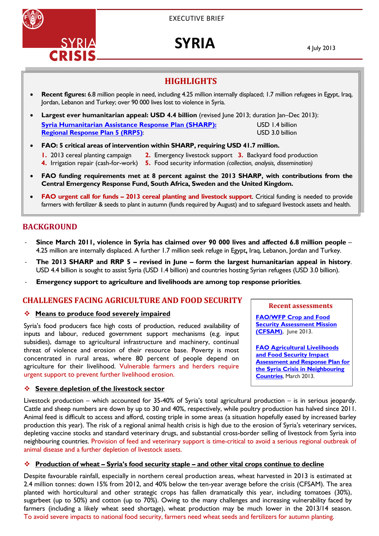

EXECUTIVE BRIEF

# **SYRIA**

4 July 2013

# **HIGHLIGHTS**

- **Recent figures:** 6.8 million people in need, including 4.25 million internally displaced; 1.7 million refugees in Egypt, Iraq, Jordan, Lebanon and Turkey; over 90 000 lives lost to violence in Syria.
- Largest ever humanitarian appeal: USD 4.4 billion (revised June 2013; duration Jan-Dec 2013): **Syria Humanitarian Assistance Response Plan (SHARP):** USD 1.4 billion **Regional Response Plan 5 (RRP5)**: USD 3.0 billion
- **FAO: 5 critical areas of intervention within SHARP, requiring USD 41.7 million.** 
	- **1.** 2013 cereal planting campaign **2.** Emergency livestock support **3.** Backyard food production
	- **4.** Irrigation repair (cash-for-work) **5.** Food security information *(collection, analysis, dissemination)*
- **FAO funding requirements met at 8 percent against the 2013 SHARP, with contributions from the Central Emergency Response Fund, South Africa, Sweden and the United Kingdom.**
- **FAO urgent call for funds 2013 cereal planting and livestock support**. Critical funding is needed to provide farmers with fertilizer & seeds to plant in autumn (funds required by August) and to safeguard livestock assets and health.

# **BACKGROUND**

- ‐ **Since March 2011, violence in Syria has claimed over 90 000 lives and affected 6.8 million people** 4.25 million are internally displaced. A further 1.7 million seek refuge in Egypt**,** Iraq, Lebanon, Jordan and Turkey.
- ‐ **The 2013 SHARP and RRP 5 revised in June form the largest humanitarian appeal in history**. USD 4.4 billion is sought to assist Syria (USD 1.4 billion) and countries hosting Syrian refugees (USD 3.0 billion).
- ‐ **Emergency support to agriculture and livelihoods are among top response priorities**.

## **CHALLENGES FACING AGRICULTURE AND FOOD SECURITY**

### **Means to produce food severely impaired**

Syria's food producers face high costs of production, reduced availability of inputs and labour, reduced government support mechanisms (e.g. input subsidies), damage to agricultural infrastructure and machinery, continual threat of violence and erosion of their resource base. Poverty is most concentrated in rural areas, where 80 percent of people depend on agriculture for their livelihood. Vulnerable farmers and herders require urgent support to prevent further livelihood erosion.

### **Severe depletion of the livestock sector**

Livestock production – which accounted for 35-40% of Syria's total agricultural production – is in serious jeopardy. Cattle and sheep numbers are down by up to 30 and 40%, respectively, while poultry production has halved since 2011. Animal feed is difficult to access and afford, costing triple in some areas (a situation hopefully eased by increased barley production this year). The risk of a regional animal health crisis is high due to the erosion of Syria's veterinary services, depleting vaccine stocks and standard veterinary drugs, and substantial cross-border selling of livestock from Syria into neighbouring countries. Provision of feed and veterinary support is time-critical to avoid a serious regional outbreak of animal disease and a further depletion of livestock assets.

### **Production of wheat – Syria's food security staple – and other vital crops continue to decline**

Despite favourable rainfall, especially in northern cereal production areas, wheat harvested in 2013 is estimated at 2.4 million tonnes: down 15% from 2012, and 40% below the ten-year average before the crisis (CFSAM). The area planted with horticultural and other strategic crops has fallen dramatically this year, including tomatoes (30%), sugarbeet (up to 50%) and cotton (up to 70%). Owing to the many challenges and increasing vulnerability faced by farmers (including a likely wheat seed shortage), wheat production may be much lower in the 2013/14 season. To avoid severe impacts to national food security, farmers need wheat seeds and fertilizers for autumn planting.

#### **Recent assessments**

**FAO/WFP Crop and Food Security Assessment Mission (CFSAM)**,June 2013.

**FAO Agricultural Livelihoods and Food Security Impact Assessment and Response Plan for the Syria Crisis in Neighbouring Countries**, March 2013.